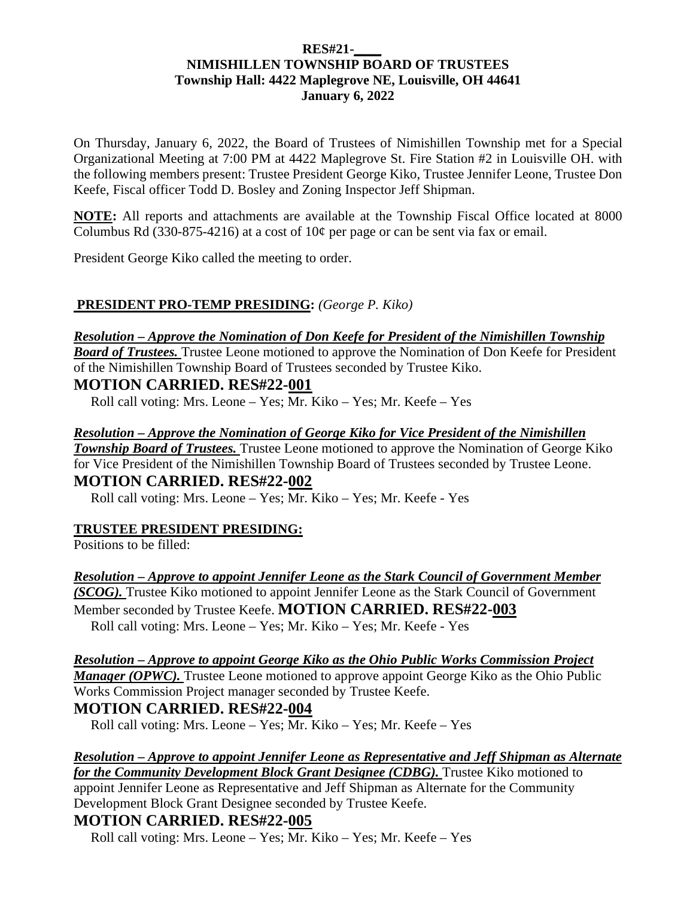### **RES#21-\_\_\_\_ NIMISHILLEN TOWNSHIP BOARD OF TRUSTEES Township Hall: 4422 Maplegrove NE, Louisville, OH 44641 January 6, 2022**

On Thursday, January 6, 2022, the Board of Trustees of Nimishillen Township met for a Special Organizational Meeting at 7:00 PM at 4422 Maplegrove St. Fire Station #2 in Louisville OH. with the following members present: Trustee President George Kiko, Trustee Jennifer Leone, Trustee Don Keefe, Fiscal officer Todd D. Bosley and Zoning Inspector Jeff Shipman.

**NOTE:** All reports and attachments are available at the Township Fiscal Office located at 8000 Columbus Rd (330-875-4216) at a cost of  $10¢$  per page or can be sent via fax or email.

President George Kiko called the meeting to order.

# **PRESIDENT PRO-TEMP PRESIDING:** *(George P. Kiko)*

#### *Resolution – Approve the Nomination of Don Keefe for President of the Nimishillen Township*

*Board of Trustees.* Trustee Leone motioned to approve the Nomination of Don Keefe for President of the Nimishillen Township Board of Trustees seconded by Trustee Kiko.

### **MOTION CARRIED. RES#22-001**

Roll call voting: Mrs. Leone – Yes:  $\overline{Mr}$ . Kiko – Yes: Mr. Keefe – Yes

### *Resolution – Approve the Nomination of George Kiko for Vice President of the Nimishillen*

*Township Board of Trustees.* Trustee Leone motioned to approve the Nomination of George Kiko for Vice President of the Nimishillen Township Board of Trustees seconded by Trustee Leone. **MOTION CARRIED. RES#22-002** 

Roll call voting: Mrs. Leone – Yes; Mr. Kiko – Yes; Mr. Keefe - Yes

### **TRUSTEE PRESIDENT PRESIDING:**

Positions to be filled:

*Resolution – Approve to appoint Jennifer Leone as the Stark Council of Government Member (SCOG).* Trustee Kiko motioned to appoint Jennifer Leone as the Stark Council of Government Member seconded by Trustee Keefe. **MOTION CARRIED. RES#22-003**  Roll call voting: Mrs. Leone – Yes; Mr. Kiko – Yes; Mr. Keefe - Yes

*Resolution – Approve to appoint George Kiko as the Ohio Public Works Commission Project Manager (OPWC)*. Trustee Leone motioned to approve appoint George Kiko as the Ohio Public Works Commission Project manager seconded by Trustee Keefe.

# **MOTION CARRIED. RES#22-004**

Roll call voting: Mrs. Leone – Yes; Mr. Kiko – Yes; Mr. Keefe – Yes

#### *Resolution – Approve to appoint Jennifer Leone as Representative and Jeff Shipman as Alternate for the Community Development Block Grant Designee (CDBG).* Trustee Kiko motioned to

appoint Jennifer Leone as Representative and Jeff Shipman as Alternate for the Community Development Block Grant Designee seconded by Trustee Keefe.

# **MOTION CARRIED. RES#22-005**

Roll call voting: Mrs. Leone – Yes; Mr. Kiko – Yes; Mr. Keefe – Yes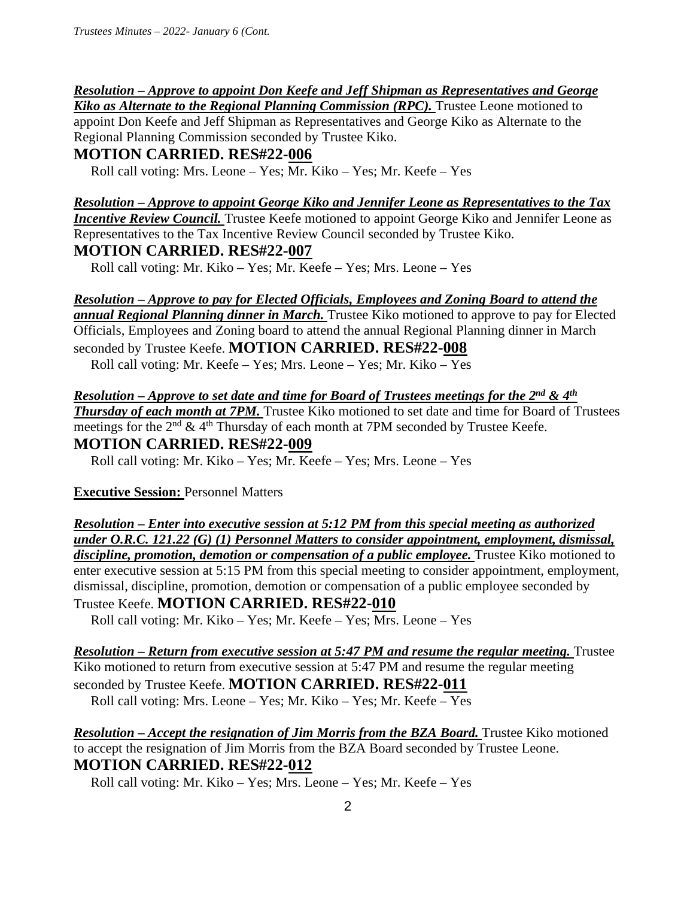# *Resolution – Approve to appoint Don Keefe and Jeff Shipman as Representatives and George*

*Kiko as Alternate to the Regional Planning Commission (RPC)*. Trustee Leone motioned to appoint Don Keefe and Jeff Shipman as Representatives and George Kiko as Alternate to the Regional Planning Commission seconded by Trustee Kiko.

# **MOTION CARRIED. RES#22-006**

Roll call voting: Mrs. Leone – Yes; Mr. Kiko – Yes; Mr. Keefe – Yes

*Resolution – Approve to appoint George Kiko and Jennifer Leone as Representatives to the Tax Incentive Review Council.* Trustee Keefe motioned to appoint George Kiko and Jennifer Leone as Representatives to the Tax Incentive Review Council seconded by Trustee Kiko.

# **MOTION CARRIED. RES#22-007**

Roll call voting: Mr. Kiko – Yes; Mr. Keefe – Yes; Mrs. Leone – Yes

# *Resolution – Approve to pay for Elected Officials, Employees and Zoning Board to attend the*

*annual Regional Planning dinner in March.* Trustee Kiko motioned to approve to pay for Elected Officials, Employees and Zoning board to attend the annual Regional Planning dinner in March seconded by Trustee Keefe. **MOTION CARRIED. RES#22-008**  Roll call voting: Mr. Keefe – Yes; Mrs. Leone – Yes; Mr. Kiko – Yes

*Resolution – Approve to set date and time for Board of Trustees meetings for the 2nd & 4th* **Thursday of each month at 7PM.** Trustee Kiko motioned to set date and time for Board of Trustees meetings for the  $2<sup>nd</sup>$  & 4<sup>th</sup> Thursday of each month at 7PM seconded by Trustee Keefe. **MOTION CARRIED. RES#22-009** 

Roll call voting: Mr. Kiko – Yes; Mr. Keefe – Yes; Mrs. Leone – Yes

# **Executive Session: Personnel Matters**

*Resolution – Enter into executive session at 5:12 PM from this special meeting as authorized under O.R.C. 121.22 (G) (1) Personnel Matters to consider appointment, employment, dismissal,*  discipline, promotion, demotion or compensation of a public employee. Trustee Kiko motioned to enter executive session at 5:15 PM from this special meeting to consider appointment, employment, dismissal, discipline, promotion, demotion or compensation of a public employee seconded by Trustee Keefe. **MOTION CARRIED. RES#22-010** 

Roll call voting: Mr. Kiko – Yes; Mr. Keefe – Yes; Mrs. Leone – Yes

*Resolution – Return from executive session at 5:47 PM and resume the regular meeting. Trustee* Kiko motioned to return from executive session at 5:47 PM and resume the regular meeting seconded by Trustee Keefe. **MOTION CARRIED. RES#22-011**  Roll call voting: Mrs. Leone – Yes; Mr. Kiko – Yes; Mr. Keefe – Yes

*Resolution – Accept the resignation of Jim Morris from the BZA Board.* **Trustee Kiko motioned** to accept the resignation of Jim Morris from the BZA Board seconded by Trustee Leone. **MOTION CARRIED. RES#22-012** 

Roll call voting: Mr. Kiko – Yes; Mrs. Leone – Yes; Mr. Keefe – Yes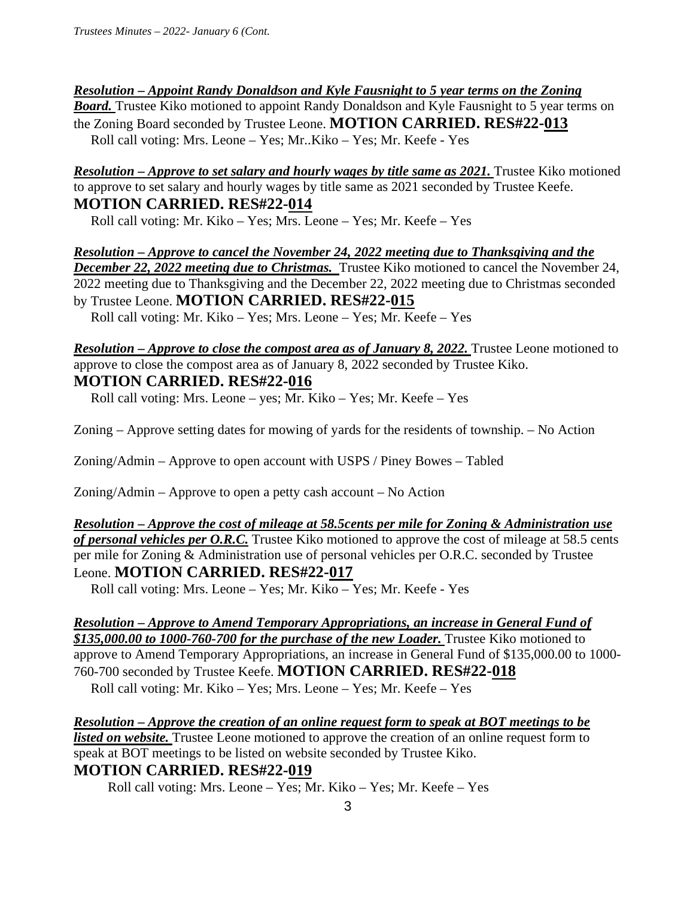*Resolution – Appoint Randy Donaldson and Kyle Fausnight to 5 year terms on the Zoning* 

**Board.** Trustee Kiko motioned to appoint Randy Donaldson and Kyle Fausnight to 5 year terms on the Zoning Board seconded by Trustee Leone. **MOTION CARRIED. RES#22-013**  Roll call voting: Mrs. Leone – Yes; Mr..Kiko – Yes; Mr. Keefe - Yes

*Resolution – Approve to set salary and hourly wages by title same as 2021. Trustee Kiko motioned* to approve to set salary and hourly wages by title same as 2021 seconded by Trustee Keefe. **MOTION CARRIED. RES#22-014** 

Roll call voting: Mr. Kiko – Yes; Mrs. Leone – Yes; Mr. Keefe – Yes

*Resolution – Approve to cancel the November 24, 2022 meeting due to Thanksgiving and the*  **December 22, 2022 meeting due to Christmas.** Trustee Kiko motioned to cancel the November 24, 2022 meeting due to Thanksgiving and the December 22, 2022 meeting due to Christmas seconded by Trustee Leone. **MOTION CARRIED. RES#22-015** 

Roll call voting: Mr. Kiko – Yes; Mrs. Leone – Yes; Mr. Keefe – Yes

*Resolution – Approve to close the compost area as of January 8, 2022.* Trustee Leone motioned to approve to close the compost area as of January 8, 2022 seconded by Trustee Kiko. **MOTION CARRIED. RES#22-016**

Roll call voting: Mrs. Leone – yes; Mr. Kiko – Yes; Mr. Keefe – Yes

Zoning – Approve setting dates for mowing of yards for the residents of township. – No Action

Zoning/Admin – Approve to open account with USPS / Piney Bowes – Tabled

Zoning/Admin – Approve to open a petty cash account – No Action

*Resolution – Approve the cost of mileage at 58.5cents per mile for Zoning & Administration use of personal vehicles per O.R.C.* Trustee Kiko motioned to approve the cost of mileage at 58.5 cents per mile for Zoning & Administration use of personal vehicles per O.R.C. seconded by Trustee Leone. **MOTION CARRIED. RES#22-017** 

Roll call voting: Mrs. Leone – Yes; Mr. Kiko – Yes; Mr. Keefe - Yes

*Resolution – Approve to Amend Temporary Appropriations, an increase in General Fund of*  \$135,000.00 to 1000-760-700 for the purchase of the new Loader. Trustee Kiko motioned to approve to Amend Temporary Appropriations, an increase in General Fund of \$135,000.00 to 1000- 760-700 seconded by Trustee Keefe. **MOTION CARRIED. RES#22-018**  Roll call voting: Mr. Kiko – Yes; Mrs. Leone – Yes; Mr. Keefe – Yes

*Resolution – Approve the creation of an online request form to speak at BOT meetings to be listed on website*. Trustee Leone motioned to approve the creation of an online request form to speak at BOT meetings to be listed on website seconded by Trustee Kiko. **MOTION CARRIED. RES#22-019**

Roll call voting: Mrs. Leone – Yes; Mr. Kiko – Yes; Mr. Keefe – Yes